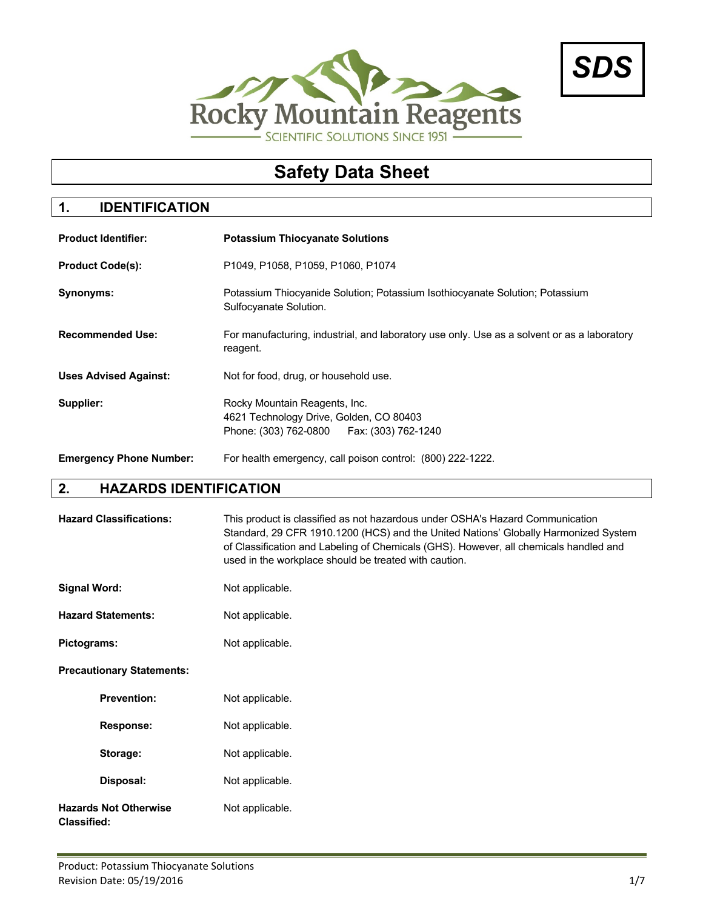



# **Safety Data Sheet**

# **1. IDENTIFICATION**

| <b>Product Identifier:</b>     | <b>Potassium Thiocyanate Solutions</b>                                                                                  |  |
|--------------------------------|-------------------------------------------------------------------------------------------------------------------------|--|
| <b>Product Code(s):</b>        | P1049, P1058, P1059, P1060, P1074                                                                                       |  |
| Synonyms:                      | Potassium Thiocyanide Solution; Potassium Isothiocyanate Solution; Potassium<br>Sulfocyanate Solution.                  |  |
| <b>Recommended Use:</b>        | For manufacturing, industrial, and laboratory use only. Use as a solvent or as a laboratory<br>reagent.                 |  |
| <b>Uses Advised Against:</b>   | Not for food, drug, or household use.                                                                                   |  |
| Supplier:                      | Rocky Mountain Reagents, Inc.<br>4621 Technology Drive, Golden, CO 80403<br>Phone: (303) 762-0800   Fax: (303) 762-1240 |  |
| <b>Emergency Phone Number:</b> | For health emergency, call poison control: (800) 222-1222.                                                              |  |

# **2. HAZARDS IDENTIFICATION**

| <b>Hazard Classifications:</b>                     | This product is classified as not hazardous under OSHA's Hazard Communication<br>Standard, 29 CFR 1910.1200 (HCS) and the United Nations' Globally Harmonized System<br>of Classification and Labeling of Chemicals (GHS). However, all chemicals handled and<br>used in the workplace should be treated with caution. |
|----------------------------------------------------|------------------------------------------------------------------------------------------------------------------------------------------------------------------------------------------------------------------------------------------------------------------------------------------------------------------------|
| <b>Signal Word:</b>                                | Not applicable.                                                                                                                                                                                                                                                                                                        |
| <b>Hazard Statements:</b>                          | Not applicable.                                                                                                                                                                                                                                                                                                        |
| Pictograms:                                        | Not applicable.                                                                                                                                                                                                                                                                                                        |
| <b>Precautionary Statements:</b>                   |                                                                                                                                                                                                                                                                                                                        |
| <b>Prevention:</b>                                 | Not applicable.                                                                                                                                                                                                                                                                                                        |
| <b>Response:</b>                                   | Not applicable.                                                                                                                                                                                                                                                                                                        |
| Storage:                                           | Not applicable.                                                                                                                                                                                                                                                                                                        |
| Disposal:                                          | Not applicable.                                                                                                                                                                                                                                                                                                        |
| <b>Hazards Not Otherwise</b><br><b>Classified:</b> | Not applicable.                                                                                                                                                                                                                                                                                                        |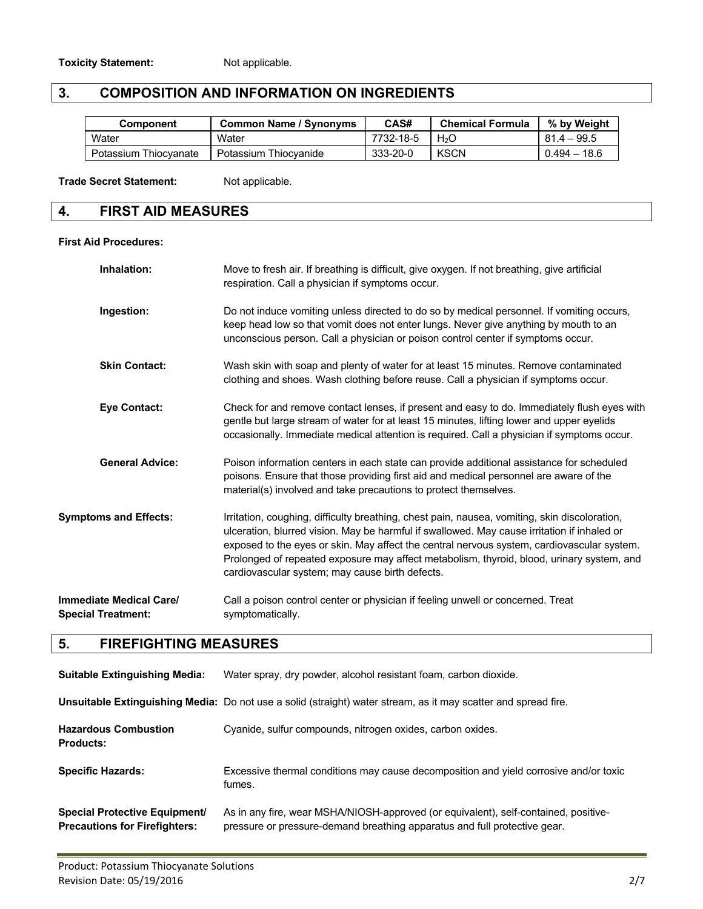# **3. COMPOSITION AND INFORMATION ON INGREDIENTS**

| Component             | <b>Common Name / Synonyms</b> | CAS#      | <b>Chemical Formula</b> | % by Weight    |
|-----------------------|-------------------------------|-----------|-------------------------|----------------|
| Water                 | Water                         | 7732-18-5 | H2O                     | $81.4 - 99.5$  |
| Potassium Thiocyanate | Potassium Thiocvanide         | 333-20-0  | <b>KSCN</b>             | $0.494 - 18.6$ |

Trade Secret Statement: Not applicable.

#### **4. FIRST AID MEASURES**

#### **First Aid Procedures:**

| Inhalation:                                          | Move to fresh air. If breathing is difficult, give oxygen. If not breathing, give artificial<br>respiration. Call a physician if symptoms occur.                                                                                                                                                                                                                                                                                           |
|------------------------------------------------------|--------------------------------------------------------------------------------------------------------------------------------------------------------------------------------------------------------------------------------------------------------------------------------------------------------------------------------------------------------------------------------------------------------------------------------------------|
| Ingestion:                                           | Do not induce vomiting unless directed to do so by medical personnel. If vomiting occurs,<br>keep head low so that vomit does not enter lungs. Never give anything by mouth to an<br>unconscious person. Call a physician or poison control center if symptoms occur.                                                                                                                                                                      |
| <b>Skin Contact:</b>                                 | Wash skin with soap and plenty of water for at least 15 minutes. Remove contaminated<br>clothing and shoes. Wash clothing before reuse. Call a physician if symptoms occur.                                                                                                                                                                                                                                                                |
| <b>Eye Contact:</b>                                  | Check for and remove contact lenses, if present and easy to do. Immediately flush eyes with<br>gentle but large stream of water for at least 15 minutes, lifting lower and upper eyelids<br>occasionally. Immediate medical attention is required. Call a physician if symptoms occur.                                                                                                                                                     |
| <b>General Advice:</b>                               | Poison information centers in each state can provide additional assistance for scheduled<br>poisons. Ensure that those providing first aid and medical personnel are aware of the<br>material(s) involved and take precautions to protect themselves.                                                                                                                                                                                      |
| <b>Symptoms and Effects:</b>                         | Irritation, coughing, difficulty breathing, chest pain, nausea, vomiting, skin discoloration,<br>ulceration, blurred vision. May be harmful if swallowed. May cause irritation if inhaled or<br>exposed to the eyes or skin. May affect the central nervous system, cardiovascular system.<br>Prolonged of repeated exposure may affect metabolism, thyroid, blood, urinary system, and<br>cardiovascular system; may cause birth defects. |
| Immediate Medical Care/<br><b>Special Treatment:</b> | Call a poison control center or physician if feeling unwell or concerned. Treat<br>symptomatically.                                                                                                                                                                                                                                                                                                                                        |

# **5. FIREFIGHTING MEASURES**

| <b>Suitable Extinguishing Media:</b>                                         | Water spray, dry powder, alcohol resistant foam, carbon dioxide.                                                                                                 |
|------------------------------------------------------------------------------|------------------------------------------------------------------------------------------------------------------------------------------------------------------|
|                                                                              | Unsuitable Extinguishing Media: Do not use a solid (straight) water stream, as it may scatter and spread fire.                                                   |
| <b>Hazardous Combustion</b><br><b>Products:</b>                              | Cyanide, sulfur compounds, nitrogen oxides, carbon oxides.                                                                                                       |
| <b>Specific Hazards:</b>                                                     | Excessive thermal conditions may cause decomposition and yield corrosive and/or toxic<br>fumes.                                                                  |
| <b>Special Protective Equipment/</b><br><b>Precautions for Firefighters:</b> | As in any fire, wear MSHA/NIOSH-approved (or equivalent), self-contained, positive-<br>pressure or pressure-demand breathing apparatus and full protective gear. |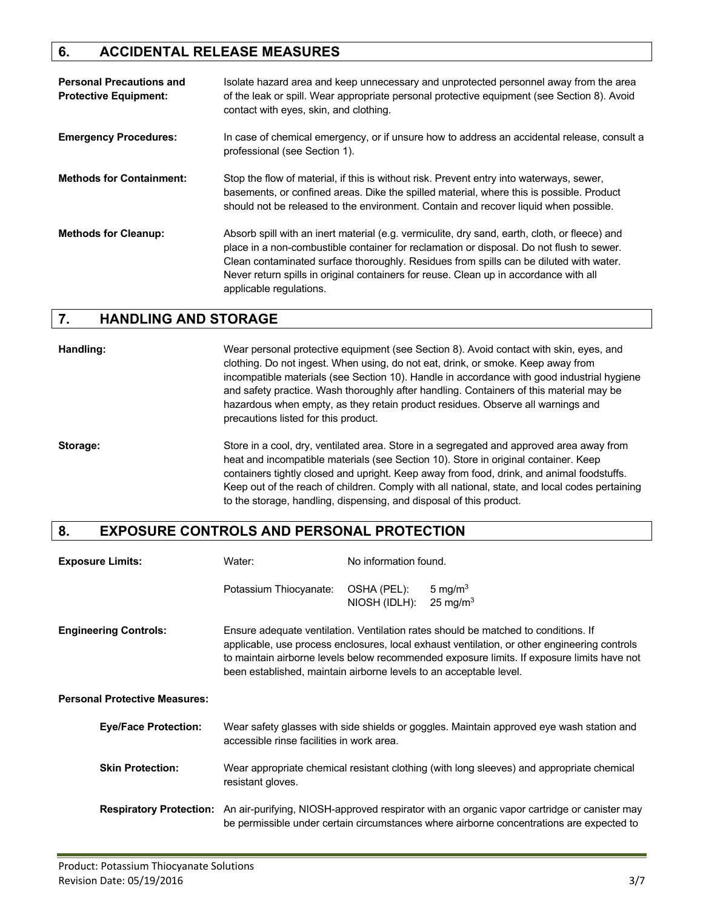# **6. ACCIDENTAL RELEASE MEASURES**

| <b>Personal Precautions and</b><br><b>Protective Equipment:</b> | Isolate hazard area and keep unnecessary and unprotected personnel away from the area<br>of the leak or spill. Wear appropriate personal protective equipment (see Section 8). Avoid<br>contact with eyes, skin, and clothing.                                                                                                                                                                          |
|-----------------------------------------------------------------|---------------------------------------------------------------------------------------------------------------------------------------------------------------------------------------------------------------------------------------------------------------------------------------------------------------------------------------------------------------------------------------------------------|
| <b>Emergency Procedures:</b>                                    | In case of chemical emergency, or if unsure how to address an accidental release, consult a<br>professional (see Section 1).                                                                                                                                                                                                                                                                            |
| <b>Methods for Containment:</b>                                 | Stop the flow of material, if this is without risk. Prevent entry into waterways, sewer,<br>basements, or confined areas. Dike the spilled material, where this is possible. Product<br>should not be released to the environment. Contain and recover liquid when possible.                                                                                                                            |
| <b>Methods for Cleanup:</b>                                     | Absorb spill with an inert material (e.g. vermiculite, dry sand, earth, cloth, or fleece) and<br>place in a non-combustible container for reclamation or disposal. Do not flush to sewer.<br>Clean contaminated surface thoroughly. Residues from spills can be diluted with water.<br>Never return spills in original containers for reuse. Clean up in accordance with all<br>applicable regulations. |

# **7. HANDLING AND STORAGE**

**Handling:** Wear personal protective equipment (see Section 8). Avoid contact with skin, eyes, and clothing. Do not ingest. When using, do not eat, drink, or smoke. Keep away from incompatible materials (see Section 10). Handle in accordance with good industrial hygiene and safety practice. Wash thoroughly after handling. Containers of this material may be hazardous when empty, as they retain product residues. Observe all warnings and precautions listed for this product.

**Storage:** Store in a cool, dry, ventilated area. Store in a segregated and approved area away from heat and incompatible materials (see Section 10). Store in original container. Keep containers tightly closed and upright. Keep away from food, drink, and animal foodstuffs. Keep out of the reach of children. Comply with all national, state, and local codes pertaining to the storage, handling, dispensing, and disposal of this product.

#### **8. EXPOSURE CONTROLS AND PERSONAL PROTECTION**

| <b>Exposure Limits:</b>              | Water:                                                             | No information found.        |                                                                                                                                                                                                                                                                                  |
|--------------------------------------|--------------------------------------------------------------------|------------------------------|----------------------------------------------------------------------------------------------------------------------------------------------------------------------------------------------------------------------------------------------------------------------------------|
|                                      | Potassium Thiocyanate:                                             | OSHA (PEL):<br>NIOSH (IDLH): | 5 mg/m $3$<br>$25 \text{ mg/m}^3$                                                                                                                                                                                                                                                |
| <b>Engineering Controls:</b>         | been established, maintain airborne levels to an acceptable level. |                              | Ensure adequate ventilation. Ventilation rates should be matched to conditions. If<br>applicable, use process enclosures, local exhaust ventilation, or other engineering controls<br>to maintain airborne levels below recommended exposure limits. If exposure limits have not |
| <b>Personal Protective Measures:</b> |                                                                    |                              |                                                                                                                                                                                                                                                                                  |
| <b>Eye/Face Protection:</b>          | accessible rinse facilities in work area.                          |                              | Wear safety glasses with side shields or goggles. Maintain approved eye wash station and                                                                                                                                                                                         |
| <b>Skin Protection:</b>              | resistant gloves.                                                  |                              | Wear appropriate chemical resistant clothing (with long sleeves) and appropriate chemical                                                                                                                                                                                        |
| <b>Respiratory Protection:</b>       |                                                                    |                              | An air-purifying, NIOSH-approved respirator with an organic vapor cartridge or canister may<br>be permissible under certain circumstances where airborne concentrations are expected to                                                                                          |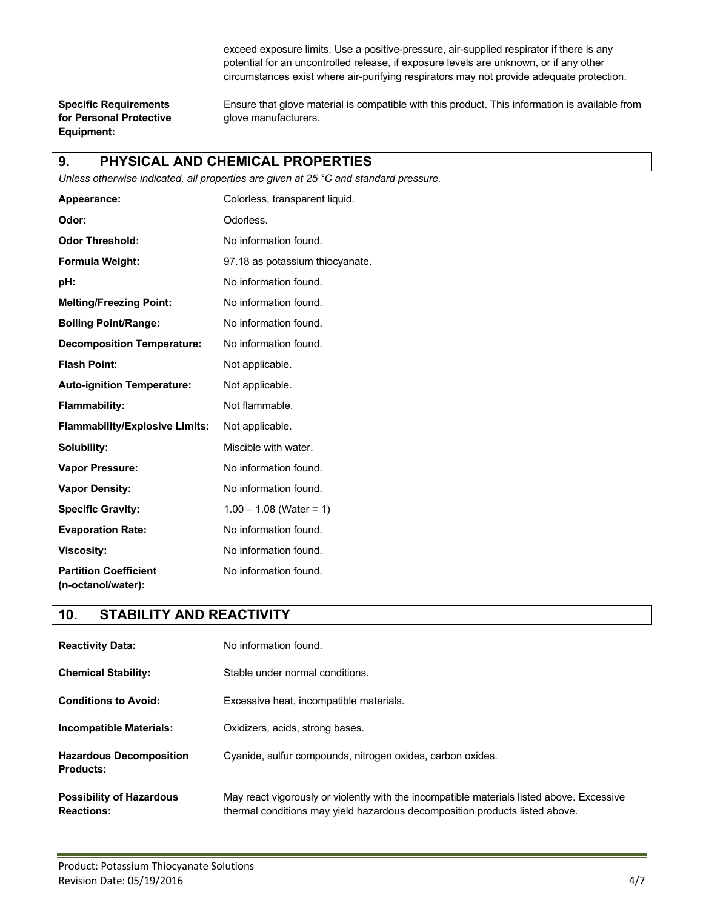exceed exposure limits. Use a positive-pressure, air-supplied respirator if there is any potential for an uncontrolled release, if exposure levels are unknown, or if any other circumstances exist where air-purifying respirators may not provide adequate protection.

**for Personal Protective glove manufacturers. Equipment:**

**Specific Requirements** Ensure that glove material is compatible with this product. This information is available from

### **9. PHYSICAL AND CHEMICAL PROPERTIES**

*Unless otherwise indicated, all properties are given at 25 °C and standard pressure.*

| Appearance:                                        | Colorless, transparent liquid.  |
|----------------------------------------------------|---------------------------------|
| Odor:                                              | Odorless.                       |
| <b>Odor Threshold:</b>                             | No information found.           |
| Formula Weight:                                    | 97.18 as potassium thiocyanate. |
| pH:                                                | No information found.           |
| <b>Melting/Freezing Point:</b>                     | No information found.           |
| <b>Boiling Point/Range:</b>                        | No information found.           |
| <b>Decomposition Temperature:</b>                  | No information found.           |
| <b>Flash Point:</b>                                | Not applicable.                 |
| <b>Auto-ignition Temperature:</b>                  | Not applicable.                 |
| <b>Flammability:</b>                               | Not flammable.                  |
| <b>Flammability/Explosive Limits:</b>              | Not applicable.                 |
| Solubility:                                        | Miscible with water.            |
| <b>Vapor Pressure:</b>                             | No information found.           |
| <b>Vapor Density:</b>                              | No information found.           |
| <b>Specific Gravity:</b>                           | $1.00 - 1.08$ (Water = 1)       |
| <b>Evaporation Rate:</b>                           | No information found.           |
| <b>Viscosity:</b>                                  | No information found.           |
| <b>Partition Coefficient</b><br>(n-octanol/water): | No information found.           |

#### **10. STABILITY AND REACTIVITY**

| <b>Reactivity Data:</b>                              | No information found.                                                                                                                                                    |
|------------------------------------------------------|--------------------------------------------------------------------------------------------------------------------------------------------------------------------------|
| <b>Chemical Stability:</b>                           | Stable under normal conditions.                                                                                                                                          |
| <b>Conditions to Avoid:</b>                          | Excessive heat, incompatible materials.                                                                                                                                  |
| <b>Incompatible Materials:</b>                       | Oxidizers, acids, strong bases.                                                                                                                                          |
| <b>Hazardous Decomposition</b><br><b>Products:</b>   | Cyanide, sulfur compounds, nitrogen oxides, carbon oxides.                                                                                                               |
| <b>Possibility of Hazardous</b><br><b>Reactions:</b> | May react vigorously or violently with the incompatible materials listed above. Excessive<br>thermal conditions may yield hazardous decomposition products listed above. |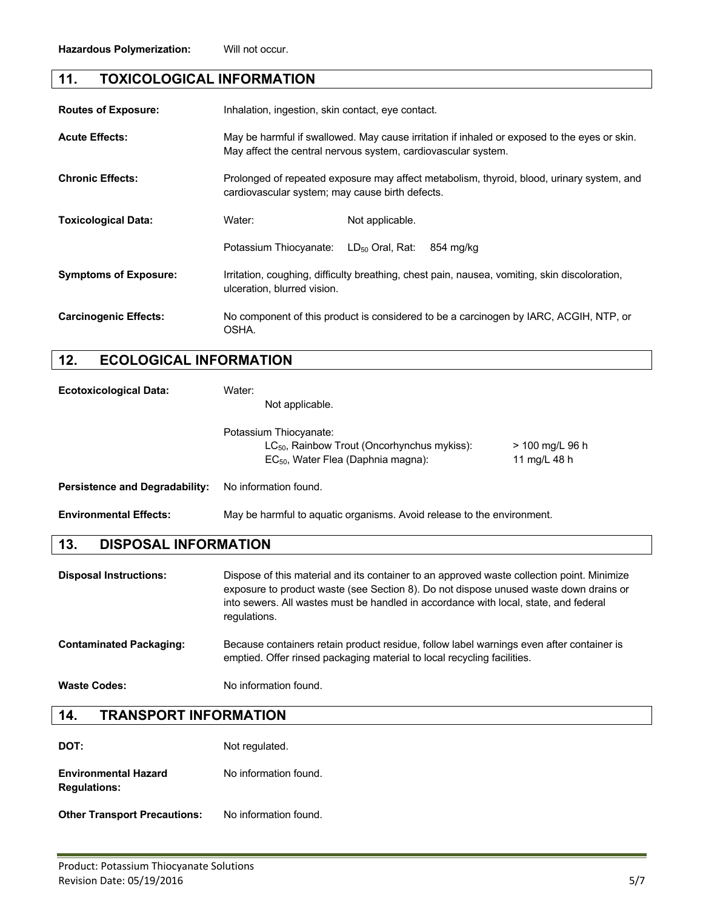# **11. TOXICOLOGICAL INFORMATION**

| <b>Routes of Exposure:</b>   | Inhalation, ingestion, skin contact, eye contact.                                                                                                             |                 |                                                                                               |
|------------------------------|---------------------------------------------------------------------------------------------------------------------------------------------------------------|-----------------|-----------------------------------------------------------------------------------------------|
| <b>Acute Effects:</b>        | May be harmful if swallowed. May cause irritation if inhaled or exposed to the eyes or skin.<br>May affect the central nervous system, cardiovascular system. |                 |                                                                                               |
| <b>Chronic Effects:</b>      | Prolonged of repeated exposure may affect metabolism, thyroid, blood, urinary system, and<br>cardiovascular system; may cause birth defects.                  |                 |                                                                                               |
| <b>Toxicological Data:</b>   | Water:                                                                                                                                                        | Not applicable. |                                                                                               |
|                              | Potassium Thiocyanate: LD <sub>50</sub> Oral, Rat:                                                                                                            |                 | 854 mg/kg                                                                                     |
| <b>Symptoms of Exposure:</b> | ulceration, blurred vision.                                                                                                                                   |                 | Irritation, coughing, difficulty breathing, chest pain, nausea, vomiting, skin discoloration, |
| <b>Carcinogenic Effects:</b> | No component of this product is considered to be a carcinogen by IARC, ACGIH, NTP, or<br>OSHA.                                                                |                 |                                                                                               |

# **12. ECOLOGICAL INFORMATION**

| <b>Ecotoxicological Data:</b>         | Water:<br>Not applicable.                                                                                                                                                                                                                                                                   |  |  |
|---------------------------------------|---------------------------------------------------------------------------------------------------------------------------------------------------------------------------------------------------------------------------------------------------------------------------------------------|--|--|
|                                       | Potassium Thiocyanate:<br>$LC_{50}$ , Rainbow Trout (Oncorhynchus mykiss):<br>> 100 mg/L 96 h<br>EC <sub>50</sub> , Water Flea (Daphnia magna):<br>11 mg/L 48 h                                                                                                                             |  |  |
| <b>Persistence and Degradability:</b> | No information found.                                                                                                                                                                                                                                                                       |  |  |
| <b>Environmental Effects:</b>         | May be harmful to aquatic organisms. Avoid release to the environment.                                                                                                                                                                                                                      |  |  |
| <b>DISPOSAL INFORMATION</b><br>13.    |                                                                                                                                                                                                                                                                                             |  |  |
|                                       |                                                                                                                                                                                                                                                                                             |  |  |
| <b>Disposal Instructions:</b>         | Dispose of this material and its container to an approved waste collection point. Minimize<br>exposure to product waste (see Section 8). Do not dispose unused waste down drains or<br>into sewers. All wastes must be handled in accordance with local, state, and federal<br>regulations. |  |  |
| <b>Contaminated Packaging:</b>        | Because containers retain product residue, follow label warnings even after container is<br>emptied. Offer rinsed packaging material to local recycling facilities.                                                                                                                         |  |  |

# **14. TRANSPORT INFORMATION**

| DOT:                                               | Not regulated.        |
|----------------------------------------------------|-----------------------|
| <b>Environmental Hazard</b><br><b>Regulations:</b> | No information found. |

**Other Transport Precautions:** No information found.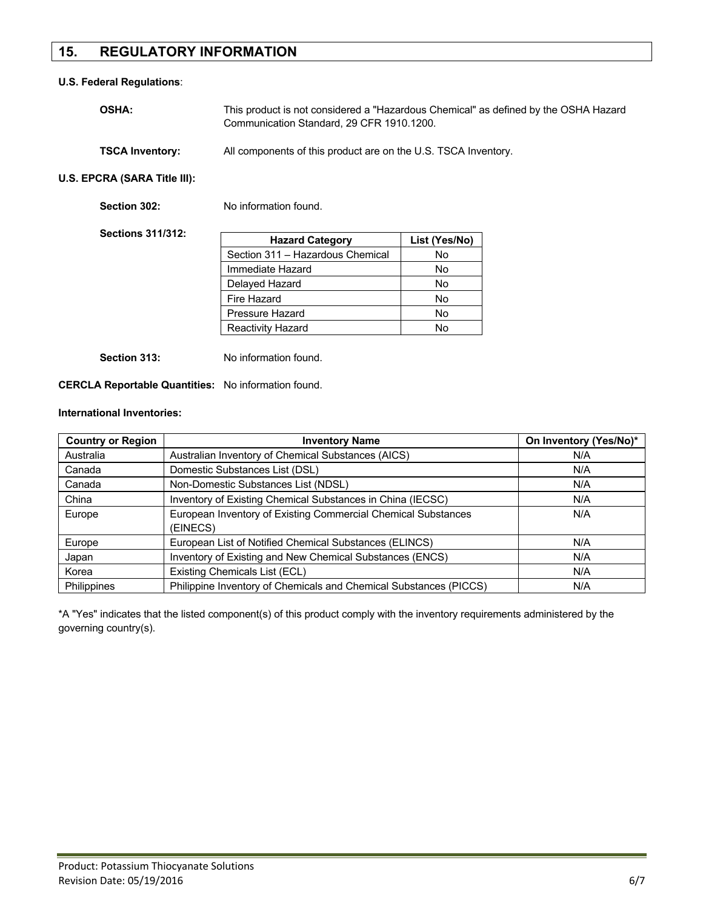# **15. REGULATORY INFORMATION**

#### **U.S. Federal Regulations**:

| <b>OSHA:</b>           | This product is not considered a "Hazardous Chemical" as defined by the OSHA Hazard<br>Communication Standard, 29 CFR 1910.1200. |
|------------------------|----------------------------------------------------------------------------------------------------------------------------------|
| <b>TSCA Inventory:</b> | All components of this product are on the U.S. TSCA Inventory.                                                                   |

**U.S. EPCRA (SARA Title III):**

| Section 302:             | No information found.            |               |
|--------------------------|----------------------------------|---------------|
| <b>Sections 311/312:</b> | <b>Hazard Category</b>           | List (Yes/No) |
|                          | Section 311 - Hazardous Chemical | No            |
|                          | Immediate Hazard                 | No            |
|                          | Delayed Hazard                   | No            |
|                          | Fire Hazard                      | No            |
|                          | Pressure Hazard                  | No            |
|                          | <b>Reactivity Hazard</b>         | No            |
|                          |                                  |               |

**Section 313:** No information found.

**CERCLA Reportable Quantities:** No information found.

#### **International Inventories:**

| <b>Country or Region</b> | <b>Inventory Name</b>                                             | On Inventory (Yes/No)* |
|--------------------------|-------------------------------------------------------------------|------------------------|
| Australia                | Australian Inventory of Chemical Substances (AICS)                | N/A                    |
| Canada                   | Domestic Substances List (DSL)                                    | N/A                    |
| Canada                   | Non-Domestic Substances List (NDSL)                               | N/A                    |
| China                    | Inventory of Existing Chemical Substances in China (IECSC)        | N/A                    |
| Europe                   | European Inventory of Existing Commercial Chemical Substances     | N/A                    |
|                          | (EINECS)                                                          |                        |
| Europe                   | European List of Notified Chemical Substances (ELINCS)            | N/A                    |
| Japan                    | Inventory of Existing and New Chemical Substances (ENCS)          | N/A                    |
| Korea                    | Existing Chemicals List (ECL)                                     | N/A                    |
| <b>Philippines</b>       | Philippine Inventory of Chemicals and Chemical Substances (PICCS) | N/A                    |

\*A "Yes" indicates that the listed component(s) of this product comply with the inventory requirements administered by the governing country(s).